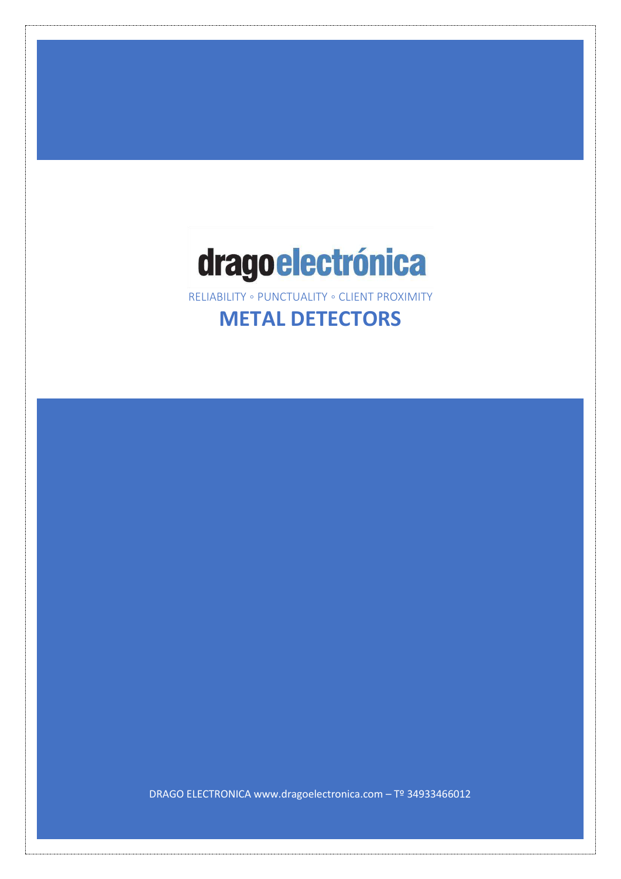# dragoelectrónica

RELIABILITY ◦ PUNCTUALITY ◦ CLIENT PROXIMITY

# **METAL DETECTORS**

DRAGO ELECTRONICA www.dragoelectronica.com – Tº 34933466012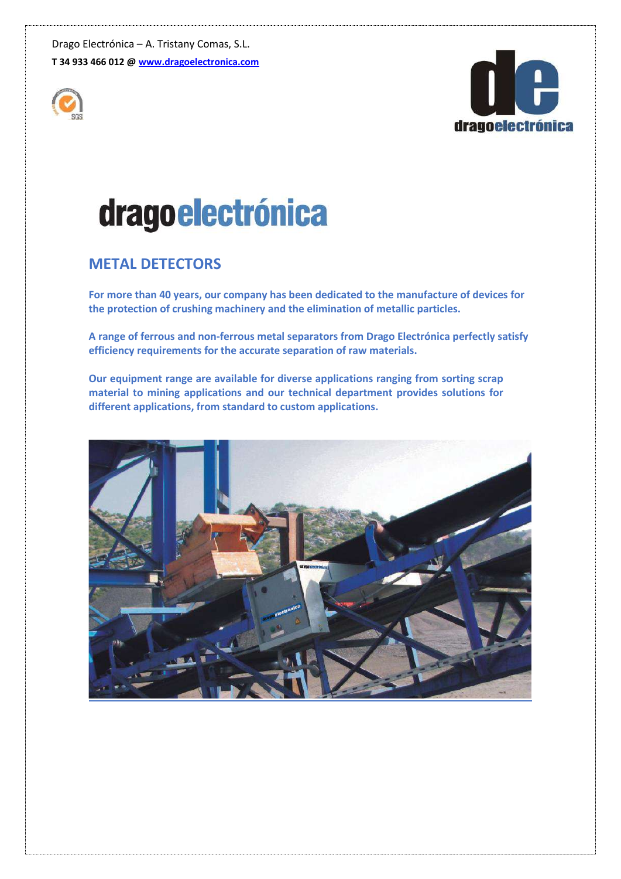



# drago electrónica

# **METAL DETECTORS**

**For more than 40 years, our company has been dedicated to the manufacture of devices for the protection of crushing machinery and the elimination of metallic particles.** 

**A range of ferrous and non-ferrous metal separators from Drago Electrónica perfectly satisfy efficiency requirements for the accurate separation of raw materials.** 

**Our equipment range are available for diverse applications ranging from sorting scrap material to mining applications and our technical department provides solutions for different applications, from standard to custom applications.**

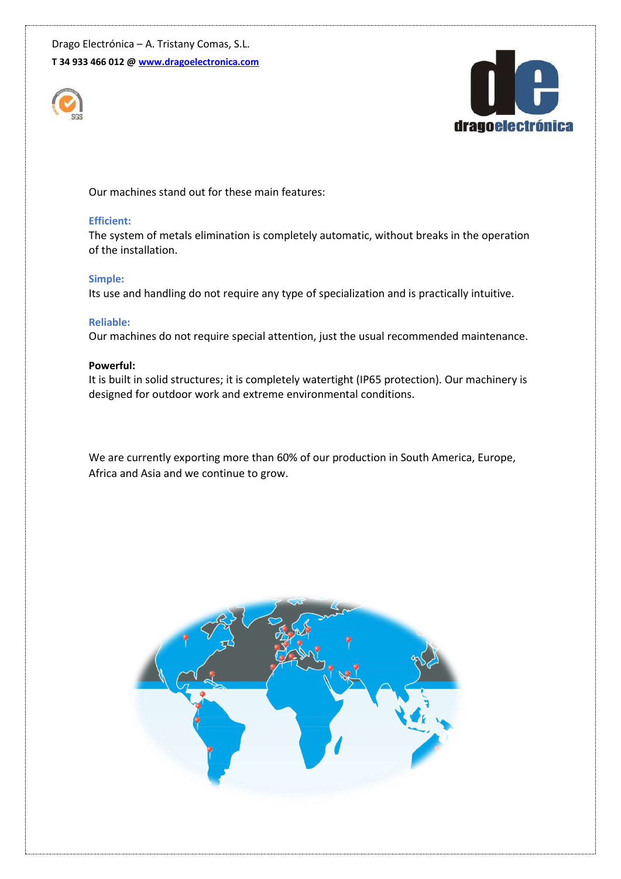



Our machines stand out for these main features:

#### **Efficient:**

The system of metals elimination is completely automatic, without breaks in the operation of the installation.

#### **Simple:**

Its use and handling do not require any type of specialization and is practically intuitive.

#### **Reliable:**

Our machines do not require special attention, just the usual recommended maintenance.

#### **Powerful:**

It is built in solid structures; it is completely watertight (IP65 protection). Our machinery is designed for outdoor work and extreme environmental conditions.

We are currently exporting more than 60% of our production in South America, Europe, Africa and Asia and we continue to grow.

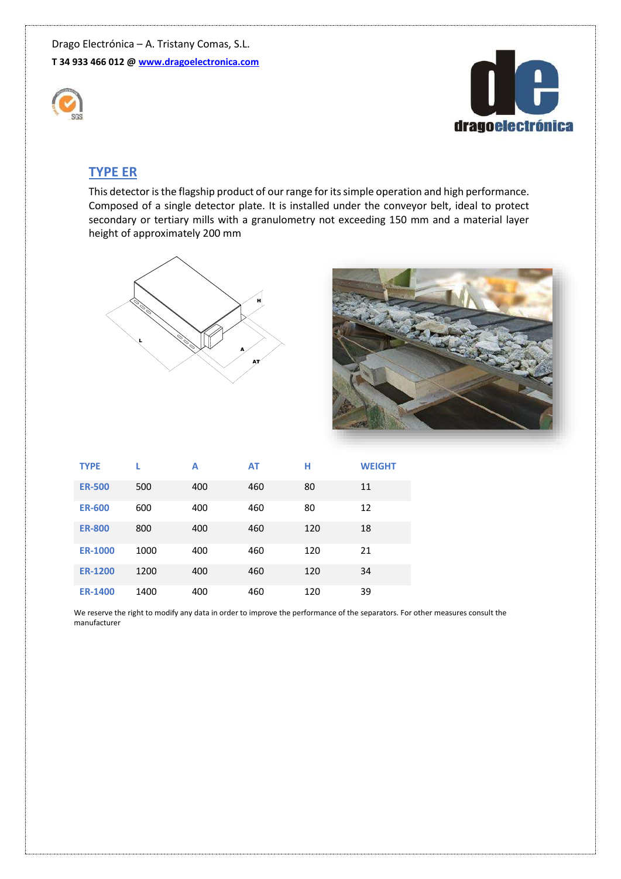



### **TYPE ER**

This detector is the flagship product of our range for its simple operation and high performance. Composed of a single detector plate. It is installed under the conveyor belt, ideal to protect secondary or tertiary mills with a granulometry not exceeding 150 mm and a material layer height of approximately 200 mm





| <b>TYPE</b>    |      | A   | <b>AT</b> | н   | <b>WEIGHT</b> |
|----------------|------|-----|-----------|-----|---------------|
| <b>ER-500</b>  | 500  | 400 | 460       | 80  | 11            |
| <b>ER-600</b>  | 600  | 400 | 460       | 80  | 12            |
| <b>ER-800</b>  | 800  | 400 | 460       | 120 | 18            |
| <b>ER-1000</b> | 1000 | 400 | 460       | 120 | 21            |
| <b>ER-1200</b> | 1200 | 400 | 460       | 120 | 34            |
| <b>ER-1400</b> | 1400 | 400 | 460       | 120 | 39            |

We reserve the right to modify any data in order to improve the performance of the separators. For other measures consult the manufacturer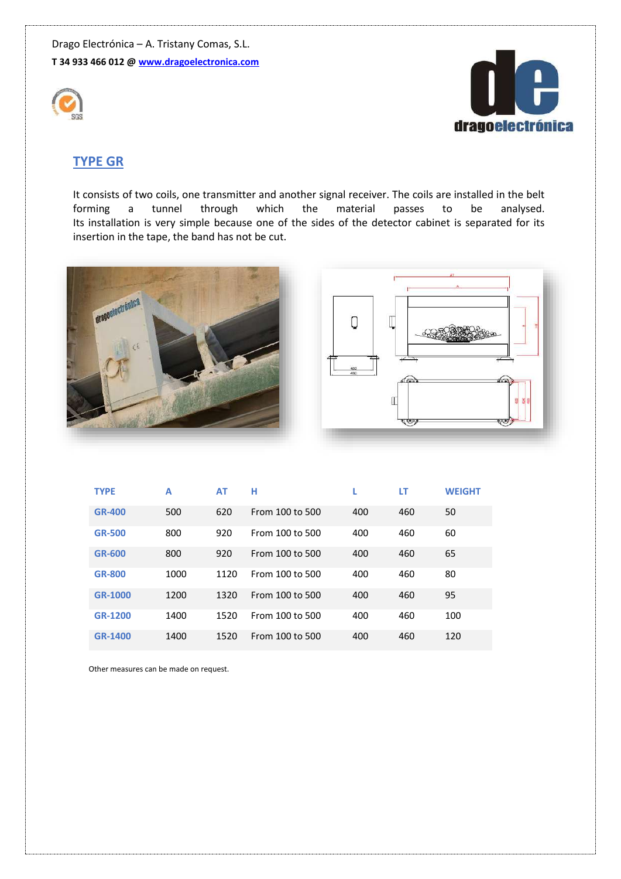



# **TYPE GR**

It consists of two coils, one transmitter and another signal receiver. The coils are installed in the belt forming a tunnel through which the material passes to be analysed. Its installation is very simple because one of the sides of the detector cabinet is separated for its insertion in the tape, the band has not be cut.





| <b>TYPE</b>    | A    | AT   | н               |     | LT  | <b>WEIGHT</b> |
|----------------|------|------|-----------------|-----|-----|---------------|
| <b>GR-400</b>  | 500  | 620  | From 100 to 500 | 400 | 460 | 50            |
| <b>GR-500</b>  | 800  | 920  | From 100 to 500 | 400 | 460 | 60            |
| <b>GR-600</b>  | 800  | 920  | From 100 to 500 | 400 | 460 | 65            |
| <b>GR-800</b>  | 1000 | 1120 | From 100 to 500 | 400 | 460 | 80            |
| GR-1000        | 1200 | 1320 | From 100 to 500 | 400 | 460 | 95            |
| <b>GR-1200</b> | 1400 | 1520 | From 100 to 500 | 400 | 460 | 100           |
| GR-1400        | 1400 | 1520 | From 100 to 500 | 400 | 460 | 120           |

Other measures can be made on request.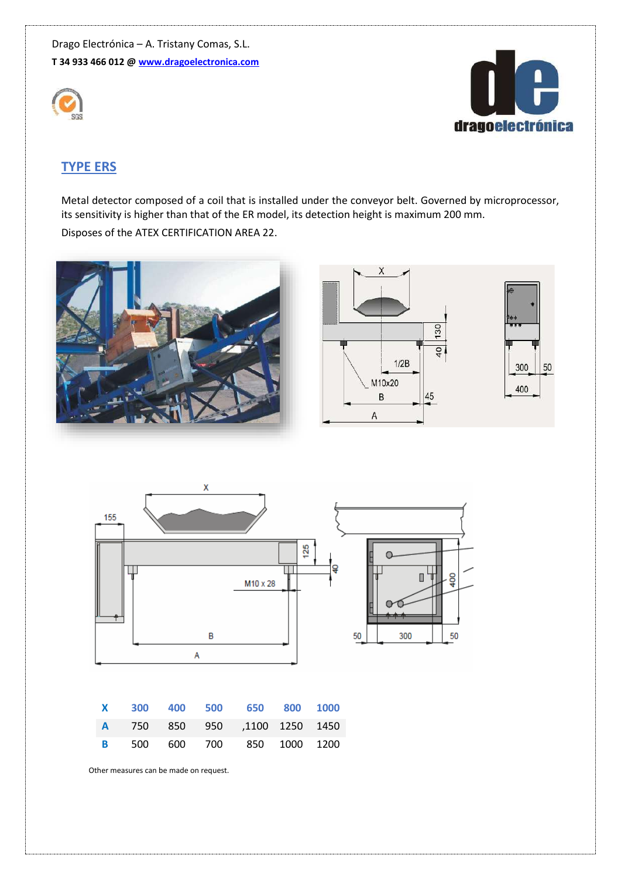



# **TYPE ERS**

Metal detector composed of a coil that is installed under the conveyor belt. Governed by microprocessor, its sensitivity is higher than that of the ER model, its detection height is maximum 200 mm. Disposes of the ATEX CERTIFICATION AREA 22.





|  |  | X 300 400 500 650 800 1000         |  |
|--|--|------------------------------------|--|
|  |  | A 750 850 950 ,1100 1250 1450      |  |
|  |  | <b>B</b> 500 600 700 850 1000 1200 |  |

Other measures can be made on request.